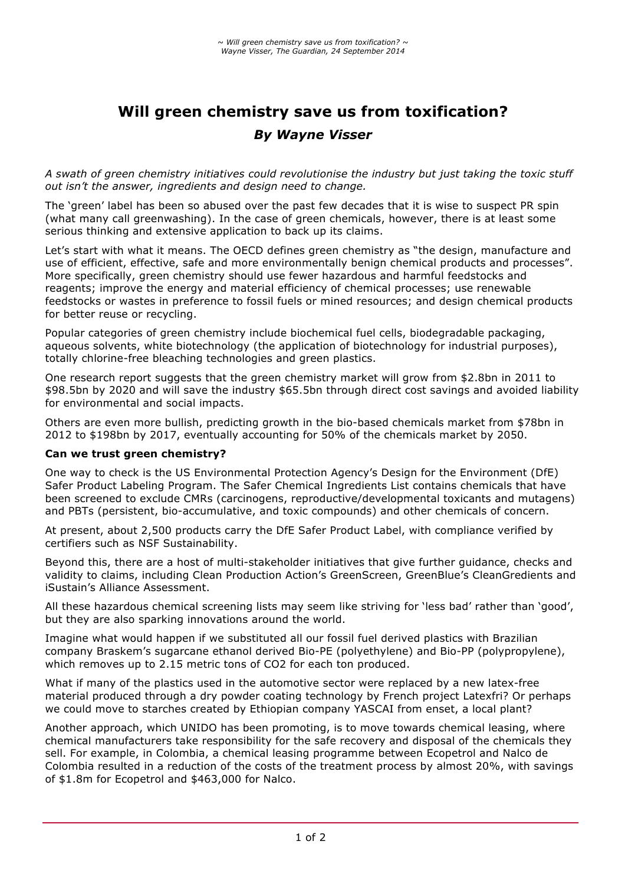# **Will green chemistry save us from toxification?** *By Wayne Visser*

*A swath of green chemistry initiatives could revolutionise the industry but just taking the toxic stuff out isn't the answer, ingredients and design need to change.*

The 'green' label has been so abused over the past few decades that it is wise to suspect PR spin (what many call greenwashing). In the case of green chemicals, however, there is at least some serious thinking and extensive application to back up its claims.

Let's start with what it means. The OECD defines green chemistry as "the design, manufacture and use of efficient, effective, safe and more environmentally benign chemical products and processes". More specifically, green chemistry should use fewer hazardous and harmful feedstocks and reagents; improve the energy and material efficiency of chemical processes; use renewable feedstocks or wastes in preference to fossil fuels or mined resources; and design chemical products for better reuse or recycling.

Popular categories of green chemistry include biochemical fuel cells, biodegradable packaging, aqueous solvents, white biotechnology (the application of biotechnology for industrial purposes), totally chlorine-free bleaching technologies and green plastics.

One research report suggests that the green chemistry market will grow from \$2.8bn in 2011 to \$98.5bn by 2020 and will save the industry \$65.5bn through direct cost savings and avoided liability for environmental and social impacts.

Others are even more bullish, predicting growth in the bio-based chemicals market from \$78bn in 2012 to \$198bn by 2017, eventually accounting for 50% of the chemicals market by 2050.

#### **Can we trust green chemistry?**

One way to check is the US Environmental Protection Agency's Design for the Environment (DfE) Safer Product Labeling Program. The Safer Chemical Ingredients List contains chemicals that have been screened to exclude CMRs (carcinogens, reproductive/developmental toxicants and mutagens) and PBTs (persistent, bio-accumulative, and toxic compounds) and other chemicals of concern.

At present, about 2,500 products carry the DfE Safer Product Label, with compliance verified by certifiers such as NSF Sustainability.

Beyond this, there are a host of multi-stakeholder initiatives that give further guidance, checks and validity to claims, including Clean Production Action's GreenScreen, GreenBlue's CleanGredients and iSustain's Alliance Assessment.

All these hazardous chemical screening lists may seem like striving for 'less bad' rather than 'good', but they are also sparking innovations around the world.

Imagine what would happen if we substituted all our fossil fuel derived plastics with Brazilian company Braskem's sugarcane ethanol derived Bio-PE (polyethylene) and Bio-PP (polypropylene), which removes up to 2.15 metric tons of CO2 for each ton produced.

What if many of the plastics used in the automotive sector were replaced by a new latex-free material produced through a dry powder coating technology by French project Latexfri? Or perhaps we could move to starches created by Ethiopian company YASCAI from enset, a local plant?

Another approach, which UNIDO has been promoting, is to move towards chemical leasing, where chemical manufacturers take responsibility for the safe recovery and disposal of the chemicals they sell. For example, in Colombia, a chemical leasing programme between Ecopetrol and Nalco de Colombia resulted in a reduction of the costs of the treatment process by almost 20%, with savings of \$1.8m for Ecopetrol and \$463,000 for Nalco.